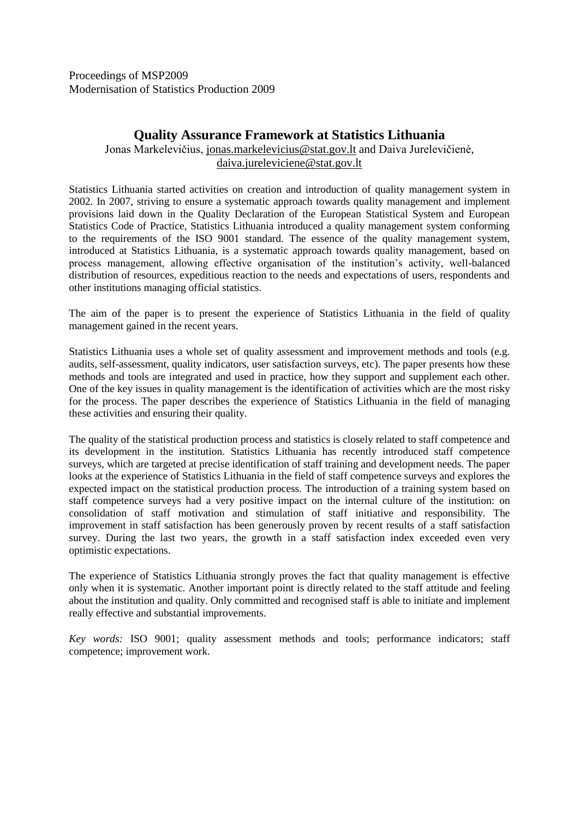Proceedings of MSP2009 Modernisation of Statistics Production 2009

# **Quality Assurance Framework at Statistics Lithuania**

Jonas Markelevičius, [jonas.markelevicius@stat.gov.lt](mailto:jonas.markelevicius@stat.gov.lt) and Daiva Jurelevičienė, [daiva.jureleviciene@stat.gov.lt](mailto:daiva.jureleviciene@stat.gov.lt)

Statistics Lithuania started activities on creation and introduction of quality management system in 2002. In 2007, striving to ensure a systematic approach towards quality management and implement provisions laid down in the Quality Declaration of the European Statistical System and European Statistics Code of Practice, Statistics Lithuania introduced a quality management system conforming to the requirements of the ISO 9001 standard. The essence of the quality management system, introduced at Statistics Lithuania, is a systematic approach towards quality management, based on process management, allowing effective organisation of the institution's activity, well-balanced distribution of resources, expeditious reaction to the needs and expectations of users, respondents and other institutions managing official statistics.

The aim of the paper is to present the experience of Statistics Lithuania in the field of quality management gained in the recent years.

Statistics Lithuania uses a whole set of quality assessment and improvement methods and tools (e.g. audits, self-assessment, quality indicators, user satisfaction surveys, etc). The paper presents how these methods and tools are integrated and used in practice, how they support and supplement each other. One of the key issues in quality management is the identification of activities which are the most risky for the process. The paper describes the experience of Statistics Lithuania in the field of managing these activities and ensuring their quality.

The quality of the statistical production process and statistics is closely related to staff competence and its development in the institution. Statistics Lithuania has recently introduced staff competence surveys, which are targeted at precise identification of staff training and development needs. The paper looks at the experience of Statistics Lithuania in the field of staff competence surveys and explores the expected impact on the statistical production process. The introduction of a training system based on staff competence surveys had a very positive impact on the internal culture of the institution: on consolidation of staff motivation and stimulation of staff initiative and responsibility. The improvement in staff satisfaction has been generously proven by recent results of a staff satisfaction survey. During the last two years, the growth in a staff satisfaction index exceeded even very optimistic expectations.

The experience of Statistics Lithuania strongly proves the fact that quality management is effective only when it is systematic. Another important point is directly related to the staff attitude and feeling about the institution and quality. Only committed and recognised staff is able to initiate and implement really effective and substantial improvements.

*Key words:* ISO 9001; quality assessment methods and tools; performance indicators; staff competence; improvement work.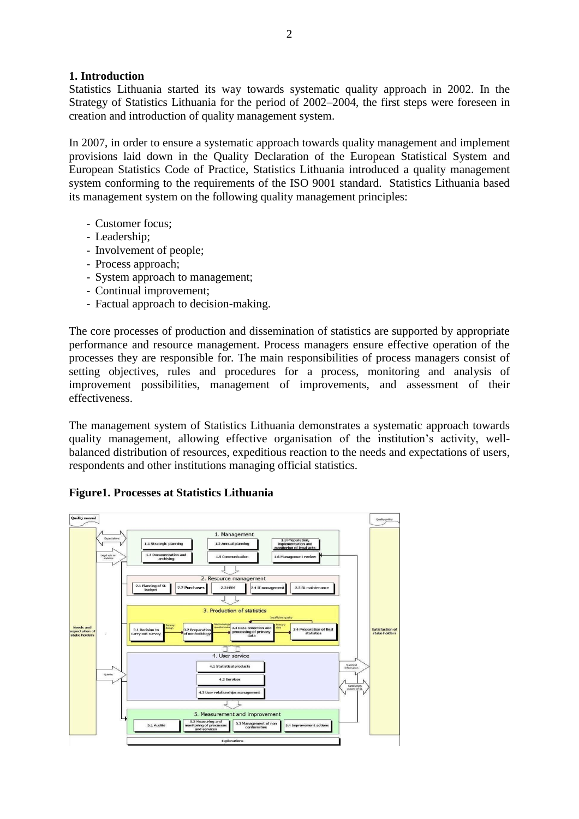### **1. Introduction**

Statistics Lithuania started its way towards systematic quality approach in 2002. In the Strategy of Statistics Lithuania for the period of 2002–2004, the first steps were foreseen in creation and introduction of quality management system.

In 2007, in order to ensure a systematic approach towards quality management and implement provisions laid down in the Quality Declaration of the European Statistical System and European Statistics Code of Practice, Statistics Lithuania introduced a quality management system conforming to the requirements of the ISO 9001 standard. Statistics Lithuania based its management system on the following quality management principles:

- Customer focus;
- Leadership;
- Involvement of people;
- Process approach;
- System approach to management;
- Continual improvement;
- Factual approach to decision-making.

The core processes of production and dissemination of statistics are supported by appropriate performance and resource management. Process managers ensure effective operation of the processes they are responsible for. The main responsibilities of process managers consist of setting objectives, rules and procedures for a process, monitoring and analysis of improvement possibilities, management of improvements, and assessment of their effectiveness.

The management system of Statistics Lithuania demonstrates a systematic approach towards quality management, allowing effective organisation of the institution's activity, wellbalanced distribution of resources, expeditious reaction to the needs and expectations of users, respondents and other institutions managing official statistics.

#### **Figure1. Processes at Statistics Lithuania**

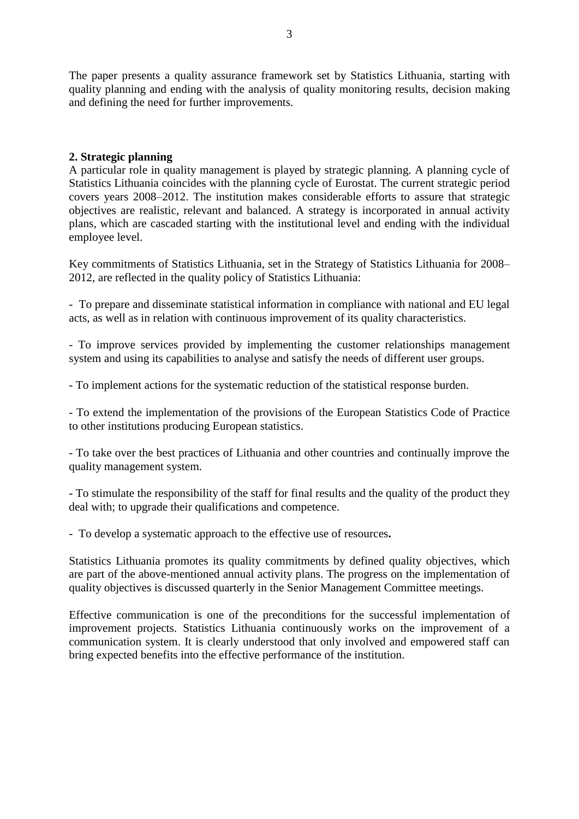The paper presents a quality assurance framework set by Statistics Lithuania, starting with quality planning and ending with the analysis of quality monitoring results, decision making and defining the need for further improvements.

### **2. Strategic planning**

A particular role in quality management is played by strategic planning. A planning cycle of Statistics Lithuania coincides with the planning cycle of Eurostat. The current strategic period covers years 2008–2012. The institution makes considerable efforts to assure that strategic objectives are realistic, relevant and balanced. A strategy is incorporated in annual activity plans, which are cascaded starting with the institutional level and ending with the individual employee level.

Key commitments of Statistics Lithuania, set in the Strategy of Statistics Lithuania for 2008– 2012, are reflected in the quality policy of Statistics Lithuania:

- To prepare and disseminate statistical information in compliance with national and EU legal acts, as well as in relation with continuous improvement of its quality characteristics.

- To improve services provided by implementing the customer relationships management system and using its capabilities to analyse and satisfy the needs of different user groups.

- To implement actions for the systematic reduction of the statistical response burden.

- To extend the implementation of the provisions of the European Statistics Code of Practice to other institutions producing European statistics.

- To take over the best practices of Lithuania and other countries and continually improve the quality management system.

- To stimulate the responsibility of the staff for final results and the quality of the product they deal with; to upgrade their qualifications and competence.

- To develop a systematic approach to the effective use of resources**.**

Statistics Lithuania promotes its quality commitments by defined quality objectives, which are part of the above-mentioned annual activity plans. The progress on the implementation of quality objectives is discussed quarterly in the Senior Management Committee meetings.

Effective communication is one of the preconditions for the successful implementation of improvement projects. Statistics Lithuania continuously works on the improvement of a communication system. It is clearly understood that only involved and empowered staff can bring expected benefits into the effective performance of the institution.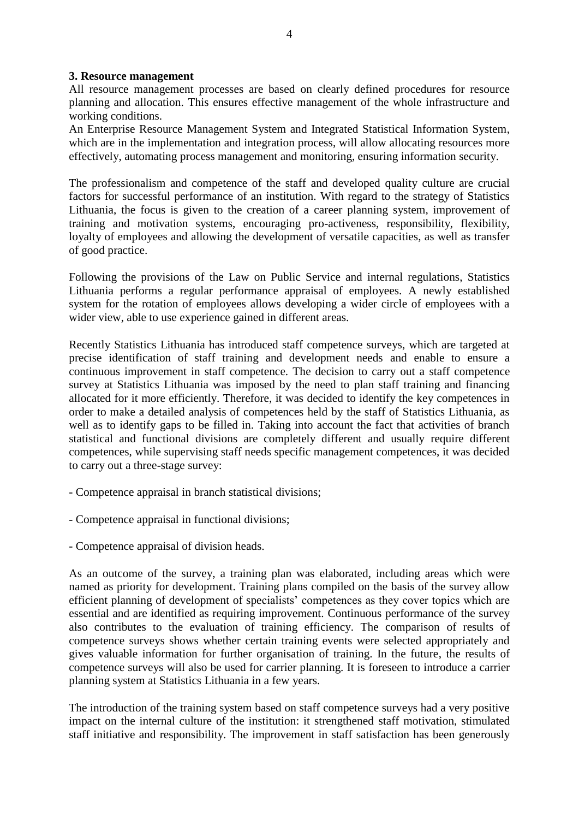#### **3. Resource management**

All resource management processes are based on clearly defined procedures for resource planning and allocation. This ensures effective management of the whole infrastructure and working conditions.

An Enterprise Resource Management System and Integrated Statistical Information System, which are in the implementation and integration process, will allow allocating resources more effectively, automating process management and monitoring, ensuring information security.

The professionalism and competence of the staff and developed quality culture are crucial factors for successful performance of an institution. With regard to the strategy of Statistics Lithuania, the focus is given to the creation of a career planning system, improvement of training and motivation systems, encouraging pro-activeness, responsibility, flexibility, loyalty of employees and allowing the development of versatile capacities, as well as transfer of good practice.

Following the provisions of the Law on Public Service and internal regulations, Statistics Lithuania performs a regular performance appraisal of employees. A newly established system for the rotation of employees allows developing a wider circle of employees with a wider view, able to use experience gained in different areas.

Recently Statistics Lithuania has introduced staff competence surveys, which are targeted at precise identification of staff training and development needs and enable to ensure a continuous improvement in staff competence. The decision to carry out a staff competence survey at Statistics Lithuania was imposed by the need to plan staff training and financing allocated for it more efficiently. Therefore, it was decided to identify the key competences in order to make a detailed analysis of competences held by the staff of Statistics Lithuania, as well as to identify gaps to be filled in. Taking into account the fact that activities of branch statistical and functional divisions are completely different and usually require different competences, while supervising staff needs specific management competences, it was decided to carry out a three-stage survey:

- Competence appraisal in branch statistical divisions;
- Competence appraisal in functional divisions;
- Competence appraisal of division heads.

As an outcome of the survey, a training plan was elaborated, including areas which were named as priority for development. Training plans compiled on the basis of the survey allow efficient planning of development of specialists' competences as they cover topics which are essential and are identified as requiring improvement. Continuous performance of the survey also contributes to the evaluation of training efficiency. The comparison of results of competence surveys shows whether certain training events were selected appropriately and gives valuable information for further organisation of training. In the future, the results of competence surveys will also be used for carrier planning. It is foreseen to introduce a carrier planning system at Statistics Lithuania in a few years.

The introduction of the training system based on staff competence surveys had a very positive impact on the internal culture of the institution: it strengthened staff motivation, stimulated staff initiative and responsibility. The improvement in staff satisfaction has been generously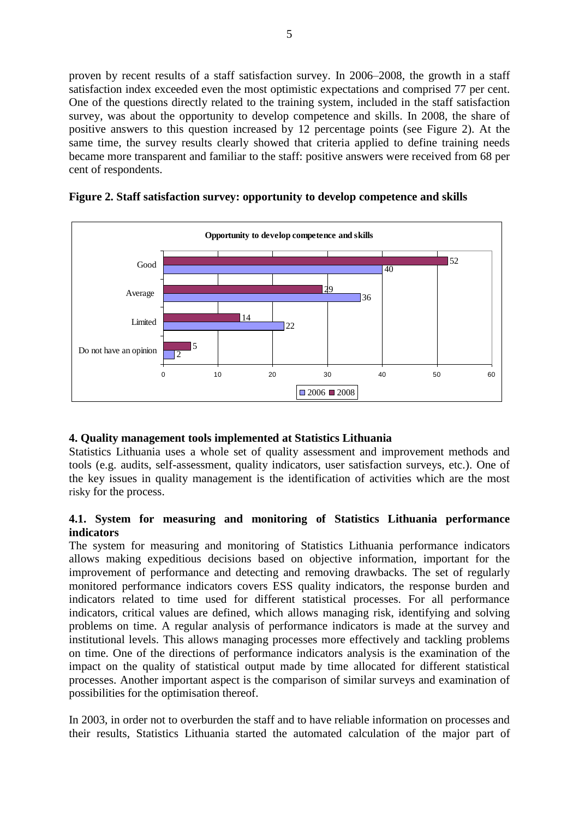proven by recent results of a staff satisfaction survey. In 2006–2008, the growth in a staff satisfaction index exceeded even the most optimistic expectations and comprised 77 per cent. One of the questions directly related to the training system, included in the staff satisfaction survey, was about the opportunity to develop competence and skills. In 2008, the share of positive answers to this question increased by 12 percentage points (see Figure 2). At the same time, the survey results clearly showed that criteria applied to define training needs became more transparent and familiar to the staff: positive answers were received from 68 per cent of respondents.



**Figure 2. Staff satisfaction survey: opportunity to develop competence and skills**

## **4. Quality management tools implemented at Statistics Lithuania**

Statistics Lithuania uses a whole set of quality assessment and improvement methods and tools (e.g. audits, self-assessment, quality indicators, user satisfaction surveys, etc.). One of the key issues in quality management is the identification of activities which are the most risky for the process.

### **4.1. System for measuring and monitoring of Statistics Lithuania performance indicators**

The system for measuring and monitoring of Statistics Lithuania performance indicators allows making expeditious decisions based on objective information, important for the improvement of performance and detecting and removing drawbacks. The set of regularly monitored performance indicators covers ESS quality indicators, the response burden and indicators related to time used for different statistical processes. For all performance indicators, critical values are defined, which allows managing risk, identifying and solving problems on time. A regular analysis of performance indicators is made at the survey and institutional levels. This allows managing processes more effectively and tackling problems on time. One of the directions of performance indicators analysis is the examination of the impact on the quality of statistical output made by time allocated for different statistical processes. Another important aspect is the comparison of similar surveys and examination of possibilities for the optimisation thereof.

In 2003, in order not to overburden the staff and to have reliable information on processes and their results, Statistics Lithuania started the automated calculation of the major part of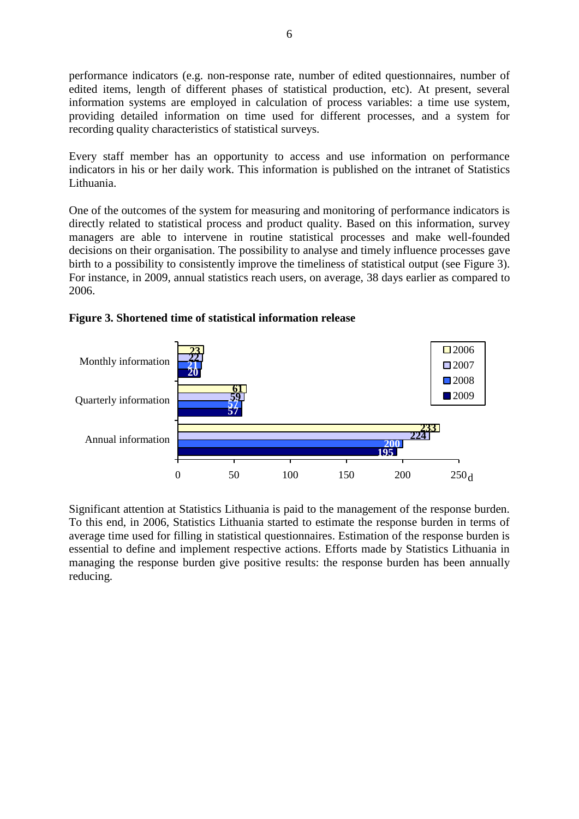performance indicators (e.g. non-response rate, number of edited questionnaires, number of edited items, length of different phases of statistical production, etc). At present, several information systems are employed in calculation of process variables: a time use system, providing detailed information on time used for different processes, and a system for recording quality characteristics of statistical surveys.

Every staff member has an opportunity to access and use information on performance indicators in his or her daily work. This information is published on the intranet of Statistics Lithuania.

One of the outcomes of the system for measuring and monitoring of performance indicators is directly related to statistical process and product quality. Based on this information, survey managers are able to intervene in routine statistical processes and make well-founded decisions on their organisation. The possibility to analyse and timely influence processes gave birth to a possibility to consistently improve the timeliness of statistical output (see Figure 3). For instance, in 2009, annual statistics reach users, on average, 38 days earlier as compared to 2006.



**Figure 3. Shortened time of statistical information release**

Significant attention at Statistics Lithuania is paid to the management of the response burden. To this end, in 2006, Statistics Lithuania started to estimate the response burden in terms of average time used for filling in statistical questionnaires. Estimation of the response burden is essential to define and implement respective actions. Efforts made by Statistics Lithuania in managing the response burden give positive results: the response burden has been annually reducing.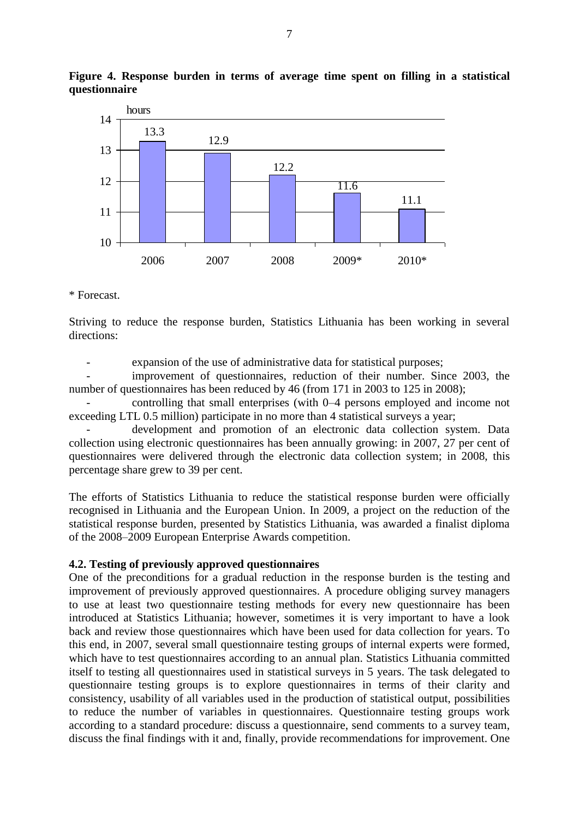

**Figure 4. Response burden in terms of average time spent on filling in a statistical questionnaire**

\* Forecast.

Striving to reduce the response burden, Statistics Lithuania has been working in several directions:

expansion of the use of administrative data for statistical purposes;

improvement of questionnaires, reduction of their number. Since 2003, the number of questionnaires has been reduced by 46 (from 171 in 2003 to 125 in 2008);

- controlling that small enterprises (with 0–4 persons employed and income not exceeding LTL 0.5 million) participate in no more than 4 statistical surveys a year;

development and promotion of an electronic data collection system. Data collection using electronic questionnaires has been annually growing: in 2007, 27 per cent of questionnaires were delivered through the electronic data collection system; in 2008, this percentage share grew to 39 per cent.

The efforts of Statistics Lithuania to reduce the statistical response burden were officially recognised in Lithuania and the European Union. In 2009, a project on the reduction of the statistical response burden, presented by Statistics Lithuania, was awarded a finalist diploma of the 2008–2009 European Enterprise Awards competition.

#### **4.2. Testing of previously approved questionnaires**

One of the preconditions for a gradual reduction in the response burden is the testing and improvement of previously approved questionnaires. A procedure obliging survey managers to use at least two questionnaire testing methods for every new questionnaire has been introduced at Statistics Lithuania; however, sometimes it is very important to have a look back and review those questionnaires which have been used for data collection for years. To this end, in 2007, several small questionnaire testing groups of internal experts were formed, which have to test questionnaires according to an annual plan. Statistics Lithuania committed itself to testing all questionnaires used in statistical surveys in 5 years. The task delegated to questionnaire testing groups is to explore questionnaires in terms of their clarity and consistency, usability of all variables used in the production of statistical output, possibilities to reduce the number of variables in questionnaires. Questionnaire testing groups work according to a standard procedure: discuss a questionnaire, send comments to a survey team, discuss the final findings with it and, finally, provide recommendations for improvement. One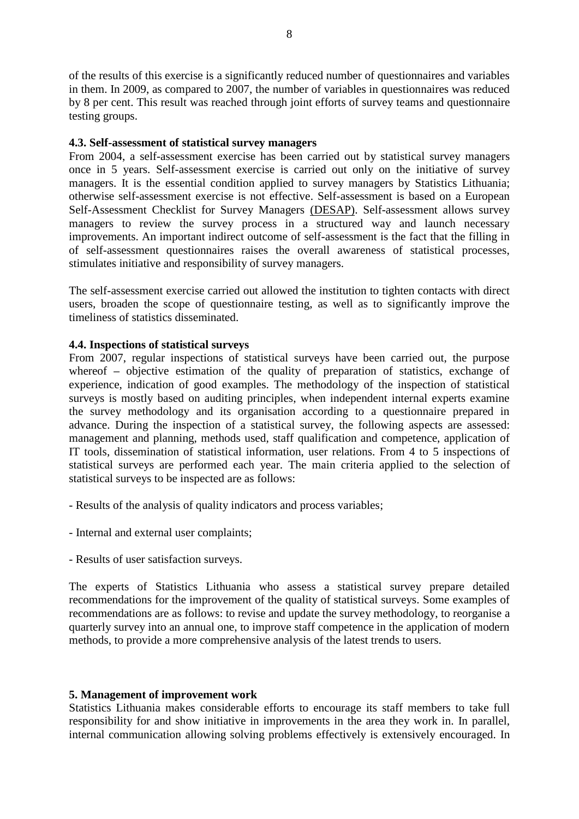of the results of this exercise is a significantly reduced number of questionnaires and variables in them. In 2009, as compared to 2007, the number of variables in questionnaires was reduced by 8 per cent. This result was reached through joint efforts of survey teams and questionnaire testing groups.

### **4.3. Self-assessment of statistical survey managers**

From 2004, a self-assessment exercise has been carried out by statistical survey managers once in 5 years. Self-assessment exercise is carried out only on the initiative of survey managers. It is the essential condition applied to survey managers by Statistics Lithuania; otherwise self-assessment exercise is not effective. Self-assessment is based on a European Self-Assessment Checklist for Survey Managers (DESAP). Self-assessment allows survey managers to review the survey process in a structured way and launch necessary improvements. An important indirect outcome of self-assessment is the fact that the filling in of self-assessment questionnaires raises the overall awareness of statistical processes, stimulates initiative and responsibility of survey managers.

The self-assessment exercise carried out allowed the institution to tighten contacts with direct users, broaden the scope of questionnaire testing, as well as to significantly improve the timeliness of statistics disseminated.

### **4.4. Inspections of statistical surveys**

From 2007, regular inspections of statistical surveys have been carried out, the purpose whereof – objective estimation of the quality of preparation of statistics, exchange of experience, indication of good examples. The methodology of the inspection of statistical surveys is mostly based on auditing principles, when independent internal experts examine the survey methodology and its organisation according to a questionnaire prepared in advance. During the inspection of a statistical survey, the following aspects are assessed: management and planning, methods used, staff qualification and competence, application of IT tools, dissemination of statistical information, user relations. From 4 to 5 inspections of statistical surveys are performed each year. The main criteria applied to the selection of statistical surveys to be inspected are as follows:

- Results of the analysis of quality indicators and process variables;
- Internal and external user complaints;
- Results of user satisfaction surveys.

The experts of Statistics Lithuania who assess a statistical survey prepare detailed recommendations for the improvement of the quality of statistical surveys. Some examples of recommendations are as follows: to revise and update the survey methodology, to reorganise a quarterly survey into an annual one, to improve staff competence in the application of modern methods, to provide a more comprehensive analysis of the latest trends to users.

#### **5. Management of improvement work**

Statistics Lithuania makes considerable efforts to encourage its staff members to take full responsibility for and show initiative in improvements in the area they work in. In parallel, internal communication allowing solving problems effectively is extensively encouraged. In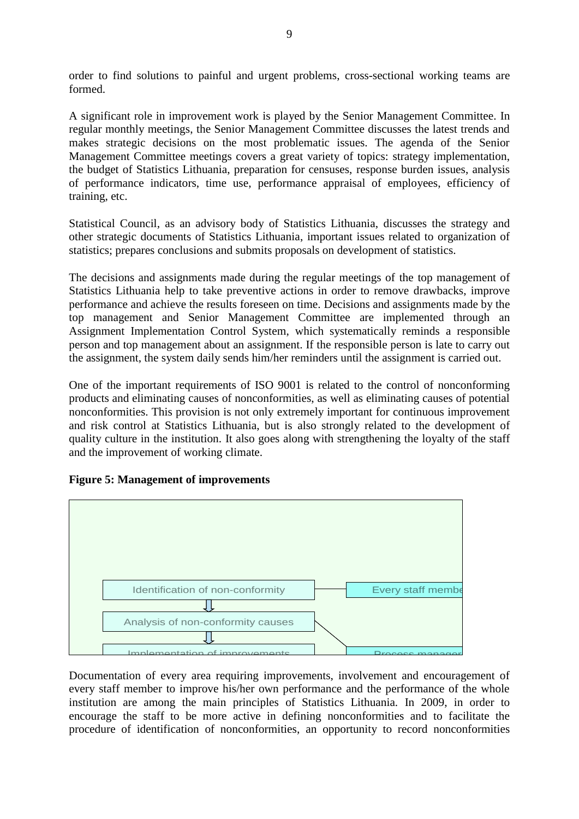order to find solutions to painful and urgent problems, cross-sectional working teams are formed.

A significant role in improvement work is played by the Senior Management Committee. In regular monthly meetings, the Senior Management Committee discusses the latest trends and makes strategic decisions on the most problematic issues. The agenda of the Senior Management Committee meetings covers a great variety of topics: strategy implementation, the budget of Statistics Lithuania, preparation for censuses, response burden issues, analysis of performance indicators, time use, performance appraisal of employees, efficiency of training, etc.

Statistical Council, as an advisory body of Statistics Lithuania, discusses the strategy and other strategic documents of Statistics Lithuania, important issues related to organization of statistics; prepares conclusions and submits proposals on development of statistics.

The decisions and assignments made during the regular meetings of the top management of Statistics Lithuania help to take preventive actions in order to remove drawbacks, improve performance and achieve the results foreseen on time. Decisions and assignments made by the top management and Senior Management Committee are implemented through an Assignment Implementation Control System, which systematically reminds a responsible person and top management about an assignment. If the responsible person is late to carry out the assignment, the system daily sends him/her reminders until the assignment is carried out.

One of the important requirements of ISO 9001 is related to the control of nonconforming products and eliminating causes of nonconformities, as well as eliminating causes of potential nonconformities. This provision is not only extremely important for continuous improvement and risk control at Statistics Lithuania, but is also strongly related to the development of quality culture in the institution. It also goes along with strengthening the loyalty of the staff and the improvement of working climate.



## **Figure 5: Management of improvements**

encourage the staff to be more active in defining nonconformities and to facilitate the procedure of identification of nonconformities, an opportunity to record nonconformities every staff member to improve his/her own performance and the performance of the whole Documentation of every area requiring improvements, involvement and encouragement of institution are among the main principles of Statistics Lithuania. In 2009, in order to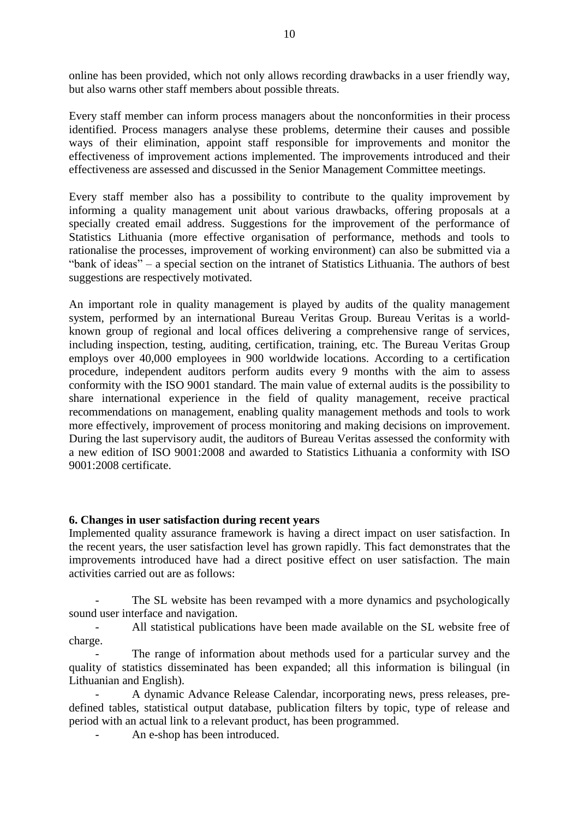online has been provided, which not only allows recording drawbacks in a user friendly way, but also warns other staff members about possible threats.

Every staff member can inform process managers about the nonconformities in their process identified. Process managers analyse these problems, determine their causes and possible ways of their elimination, appoint staff responsible for improvements and monitor the effectiveness of improvement actions implemented. The improvements introduced and their effectiveness are assessed and discussed in the Senior Management Committee meetings.

Every staff member also has a possibility to contribute to the quality improvement by informing a quality management unit about various drawbacks, offering proposals at a specially created email address. Suggestions for the improvement of the performance of Statistics Lithuania (more effective organisation of performance, methods and tools to rationalise the processes, improvement of working environment) can also be submitted via a "bank of ideas" – a special section on the intranet of Statistics Lithuania. The authors of best suggestions are respectively motivated.

An important role in quality management is played by audits of the quality management system, performed by an international Bureau Veritas Group. Bureau Veritas is a worldknown group of regional and local offices delivering a comprehensive range of services, including inspection, testing, auditing, certification, training, etc. The Bureau Veritas Group employs over 40,000 employees in 900 worldwide locations. According to a certification procedure, independent auditors perform audits every 9 months with the aim to assess conformity with the ISO 9001 standard. The main value of external audits is the possibility to share international experience in the field of quality management, receive practical recommendations on management, enabling quality management methods and tools to work more effectively, improvement of process monitoring and making decisions on improvement. During the last supervisory audit, the auditors of Bureau Veritas assessed the conformity with a new edition of ISO 9001:2008 and awarded to Statistics Lithuania a conformity with ISO 9001:2008 certificate.

#### **6. Changes in user satisfaction during recent years**

Implemented quality assurance framework is having a direct impact on user satisfaction. In the recent years, the user satisfaction level has grown rapidly. This fact demonstrates that the improvements introduced have had a direct positive effect on user satisfaction. The main activities carried out are as follows:

The SL website has been revamped with a more dynamics and psychologically sound user interface and navigation.

All statistical publications have been made available on the SL website free of charge.

The range of information about methods used for a particular survey and the quality of statistics disseminated has been expanded; all this information is bilingual (in Lithuanian and English).

- A dynamic Advance Release Calendar, incorporating news, press releases, predefined tables, statistical output database, publication filters by topic, type of release and period with an actual link to a relevant product, has been programmed.

An e-shop has been introduced.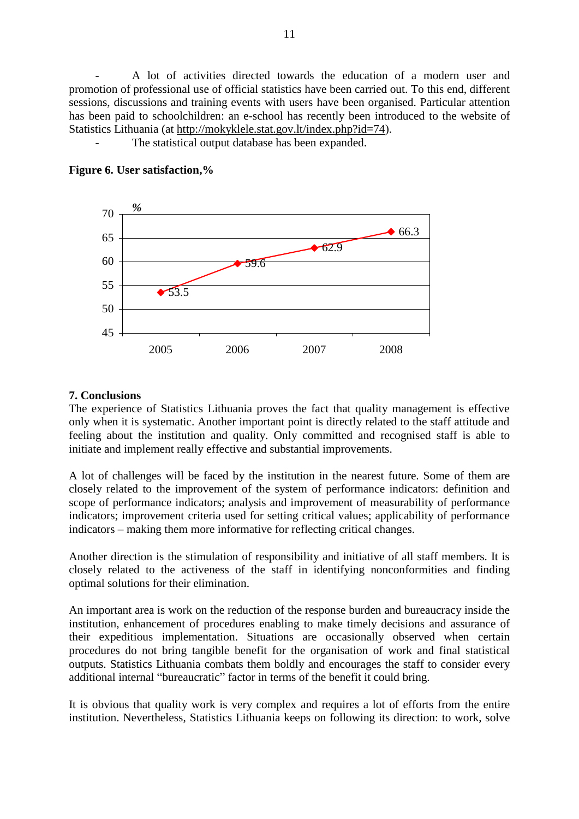- A lot of activities directed towards the education of a modern user and promotion of professional use of official statistics have been carried out. To this end, different sessions, discussions and training events with users have been organised. Particular attention has been paid to schoolchildren: an e-school has recently been introduced to the website of Statistics Lithuania (at [http://mokyklele.stat.gov.lt/index.php?id=74\)](http://mokyklele.stat.gov.lt/index.php?id=74).

The statistical output database has been expanded.



### **Figure 6. User satisfaction,%**

### **7. Conclusions**

The experience of Statistics Lithuania proves the fact that quality management is effective only when it is systematic. Another important point is directly related to the staff attitude and feeling about the institution and quality. Only committed and recognised staff is able to initiate and implement really effective and substantial improvements.

A lot of challenges will be faced by the institution in the nearest future. Some of them are closely related to the improvement of the system of performance indicators: definition and scope of performance indicators; analysis and improvement of measurability of performance indicators; improvement criteria used for setting critical values; applicability of performance indicators – making them more informative for reflecting critical changes.

Another direction is the stimulation of responsibility and initiative of all staff members. It is closely related to the activeness of the staff in identifying nonconformities and finding optimal solutions for their elimination.

An important area is work on the reduction of the response burden and bureaucracy inside the institution, enhancement of procedures enabling to make timely decisions and assurance of their expeditious implementation. Situations are occasionally observed when certain procedures do not bring tangible benefit for the organisation of work and final statistical outputs. Statistics Lithuania combats them boldly and encourages the staff to consider every additional internal "bureaucratic" factor in terms of the benefit it could bring.

It is obvious that quality work is very complex and requires a lot of efforts from the entire institution. Nevertheless, Statistics Lithuania keeps on following its direction: to work, solve